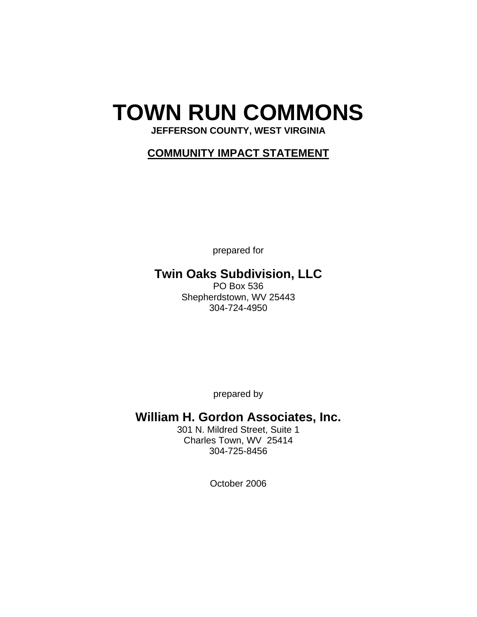# **TOWN RUN COMMONS**

# **JEFFERSON COUNTY, WEST VIRGINIA**

# **COMMUNITY IMPACT STATEMENT**

prepared for

# **Twin Oaks Subdivision, LLC**

PO Box 536 Shepherdstown, WV 25443 304-724-4950

prepared by

# **William H. Gordon Associates, Inc.**

301 N. Mildred Street, Suite 1 Charles Town, WV 25414 304-725-8456

October 2006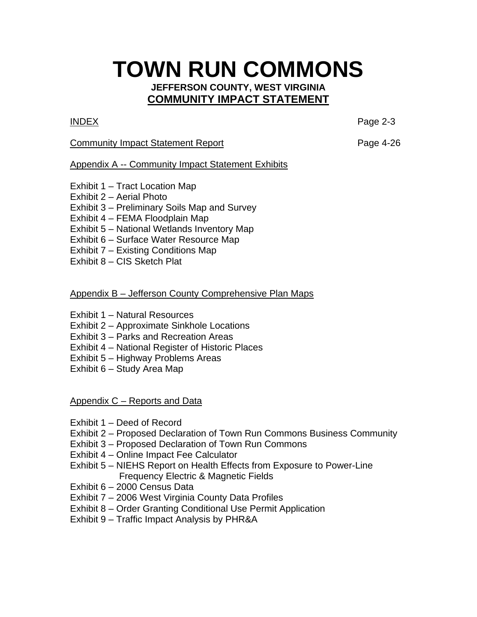# **TOWN RUN COMMONS**

### **JEFFERSON COUNTY, WEST VIRGINIA COMMUNITY IMPACT STATEMENT**

INDEX Page 2-3

## Community Impact Statement Report **Page 4-26**

# Appendix A -- Community Impact Statement Exhibits

- Exhibit 1 Tract Location Map
- Exhibit 2 Aerial Photo
- Exhibit 3 Preliminary Soils Map and Survey
- Exhibit 4 FEMA Floodplain Map
- Exhibit 5 National Wetlands Inventory Map
- Exhibit 6 Surface Water Resource Map
- Exhibit 7 Existing Conditions Map
- Exhibit 8 CIS Sketch Plat

# Appendix B – Jefferson County Comprehensive Plan Maps

- Exhibit 1 Natural Resources
- Exhibit 2 Approximate Sinkhole Locations
- Exhibit 3 Parks and Recreation Areas
- Exhibit 4 National Register of Historic Places
- Exhibit 5 Highway Problems Areas
- Exhibit 6 Study Area Map

Appendix C – Reports and Data

- Exhibit 1 Deed of Record
- Exhibit 2 Proposed Declaration of Town Run Commons Business Community
- Exhibit 3 Proposed Declaration of Town Run Commons
- Exhibit 4 Online Impact Fee Calculator
- Exhibit 5 NIEHS Report on Health Effects from Exposure to Power-Line Frequency Electric & Magnetic Fields
- Exhibit 6 2000 Census Data
- Exhibit 7 2006 West Virginia County Data Profiles
- Exhibit 8 Order Granting Conditional Use Permit Application
- Exhibit 9 Traffic Impact Analysis by PHR&A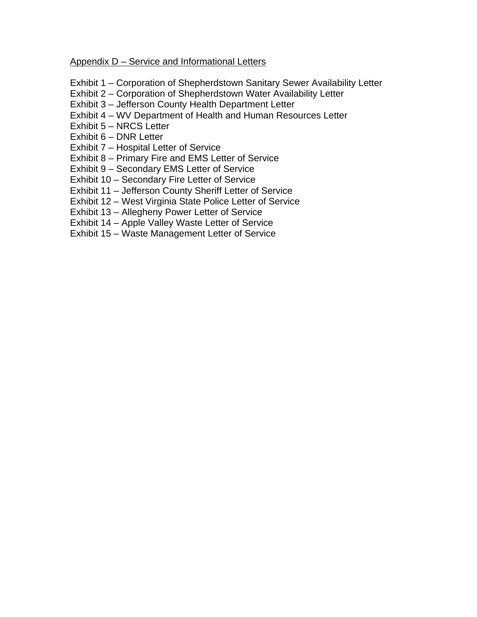Appendix D – Service and Informational Letters

- Exhibit 1 Corporation of Shepherdstown Sanitary Sewer Availability Letter
- Exhibit 2 Corporation of Shepherdstown Water Availability Letter
- Exhibit 3 Jefferson County Health Department Letter
- Exhibit 4 WV Department of Health and Human Resources Letter
- Exhibit 5 NRCS Letter
- Exhibit 6 DNR Letter
- Exhibit 7 Hospital Letter of Service
- Exhibit 8 Primary Fire and EMS Letter of Service
- Exhibit 9 Secondary EMS Letter of Service
- Exhibit 10 Secondary Fire Letter of Service
- Exhibit 11 Jefferson County Sheriff Letter of Service
- Exhibit 12 West Virginia State Police Letter of Service
- Exhibit 13 Allegheny Power Letter of Service
- Exhibit 14 Apple Valley Waste Letter of Service
- Exhibit 15 Waste Management Letter of Service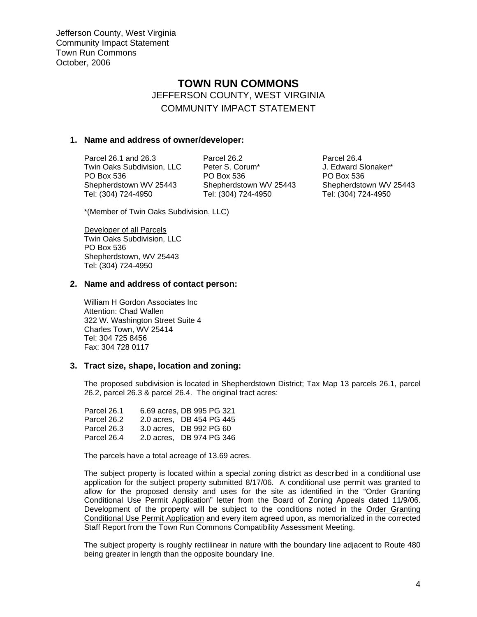# **TOWN RUN COMMONS**  JEFFERSON COUNTY, WEST VIRGINIA COMMUNITY IMPACT STATEMENT

#### **1. Name and address of owner/developer:**

Twin Oaks Subdivision, LLC Peter S. Corum\* J. Edward Slonaker\*<br>PO Box 536 PO Box 536 PO Box 536 PO Box 536 PO Box 536<br>Shepherdstown WV 25443 Shepherdstown WV 25443 Shepherdstown WV 25443 Shepherdstown WV 25443 Shepherdstown WV 25443<br>Tel: (304) 724-4950 Tel: (304) 724-4950 Tel: (304) 724-4950

Parcel 26.1 and 26.3 Parcel 26.2 Parcel 26.4 Tel: (304) 724-4950 Tel: (304) 724-4950 Tel: (304) 724-4950

\*(Member of Twin Oaks Subdivision, LLC)

Developer of all Parcels Twin Oaks Subdivision, LLC PO Box 536 Shepherdstown, WV 25443 Tel: (304) 724-4950

#### **2. Name and address of contact person:**

William H Gordon Associates Inc Attention: Chad Wallen 322 W. Washington Street Suite 4 Charles Town, WV 25414 Tel: 304 725 8456 Fax: 304 728 0117

#### **3. Tract size, shape, location and zoning:**

The proposed subdivision is located in Shepherdstown District; Tax Map 13 parcels 26.1, parcel 26.2, parcel 26.3 & parcel 26.4. The original tract acres:

Parcel 26.1 6.69 acres, DB 995 PG 321 Parcel 26.2 2.0 acres, DB 454 PG 445 Parcel 26.3 3.0 acres, DB 992 PG 60 Parcel 26.4 2.0 acres, DB 974 PG 346

The parcels have a total acreage of 13.69 acres.

The subject property is located within a special zoning district as described in a conditional use application for the subject property submitted 8/17/06. A conditional use permit was granted to allow for the proposed density and uses for the site as identified in the "Order Granting Conditional Use Permit Application" letter from the Board of Zoning Appeals dated 11/9/06. Development of the property will be subject to the conditions noted in the Order Granting Conditional Use Permit Application and every item agreed upon, as memorialized in the corrected Staff Report from the Town Run Commons Compatibility Assessment Meeting.

The subject property is roughly rectilinear in nature with the boundary line adjacent to Route 480 being greater in length than the opposite boundary line.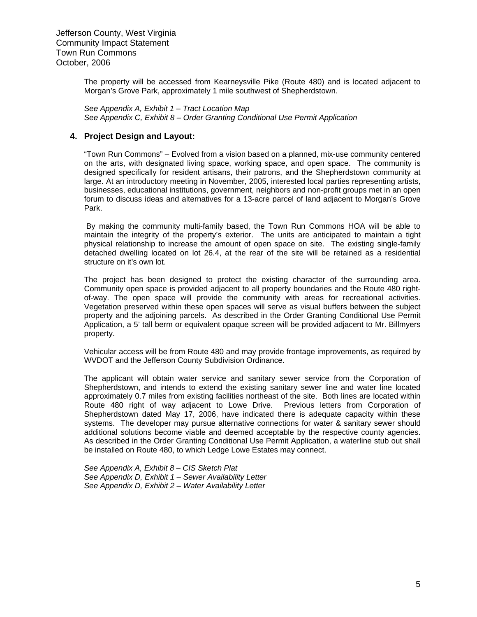The property will be accessed from Kearneysville Pike (Route 480) and is located adjacent to Morgan's Grove Park, approximately 1 mile southwest of Shepherdstown.

*See Appendix A, Exhibit 1 – Tract Location Map See Appendix C, Exhibit 8 – Order Granting Conditional Use Permit Application* 

#### **4. Project Design and Layout:**

"Town Run Commons" – Evolved from a vision based on a planned, mix-use community centered on the arts, with designated living space, working space, and open space. The community is designed specifically for resident artisans, their patrons, and the Shepherdstown community at large. At an introductory meeting in November, 2005, interested local parties representing artists, businesses, educational institutions, government, neighbors and non-profit groups met in an open forum to discuss ideas and alternatives for a 13-acre parcel of land adjacent to Morgan's Grove Park.

 By making the community multi-family based, the Town Run Commons HOA will be able to maintain the integrity of the property's exterior. The units are anticipated to maintain a tight physical relationship to increase the amount of open space on site. The existing single-family detached dwelling located on lot 26.4, at the rear of the site will be retained as a residential structure on it's own lot.

The project has been designed to protect the existing character of the surrounding area. Community open space is provided adjacent to all property boundaries and the Route 480 rightof-way. The open space will provide the community with areas for recreational activities. Vegetation preserved within these open spaces will serve as visual buffers between the subject property and the adjoining parcels. As described in the Order Granting Conditional Use Permit Application, a 5' tall berm or equivalent opaque screen will be provided adjacent to Mr. Billmyers property.

Vehicular access will be from Route 480 and may provide frontage improvements, as required by WVDOT and the Jefferson County Subdivision Ordinance.

The applicant will obtain water service and sanitary sewer service from the Corporation of Shepherdstown, and intends to extend the existing sanitary sewer line and water line located approximately 0.7 miles from existing facilities northeast of the site. Both lines are located within Route 480 right of way adjacent to Lowe Drive. Previous letters from Corporation of Shepherdstown dated May 17, 2006, have indicated there is adequate capacity within these systems. The developer may pursue alternative connections for water & sanitary sewer should additional solutions become viable and deemed acceptable by the respective county agencies. As described in the Order Granting Conditional Use Permit Application, a waterline stub out shall be installed on Route 480, to which Ledge Lowe Estates may connect.

*See Appendix A, Exhibit 8 – CIS Sketch Plat See Appendix D, Exhibit 1 – Sewer Availability Letter See Appendix D, Exhibit 2 – Water Availability Letter*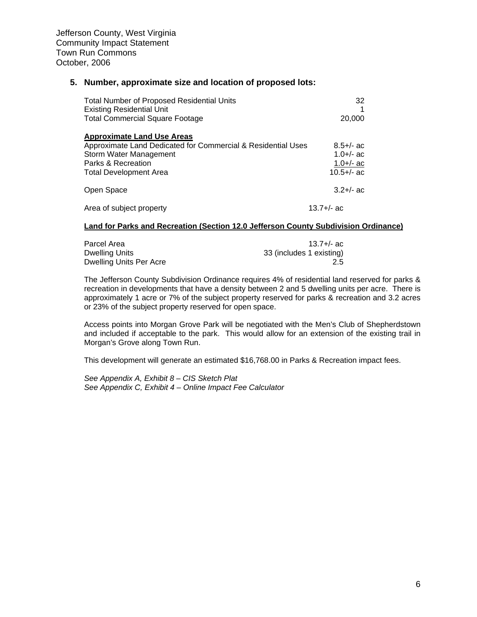#### **5. Number, approximate size and location of proposed lots:**

| <b>Total Number of Proposed Residential Units</b><br><b>Existing Residential Unit</b> | 32            |
|---------------------------------------------------------------------------------------|---------------|
| <b>Total Commercial Square Footage</b>                                                | 20,000        |
| <b>Approximate Land Use Areas</b>                                                     |               |
| Approximate Land Dedicated for Commercial & Residential Uses                          | $8.5 +/-$ ac  |
| Storm Water Management                                                                | $1.0 +/-$ ac  |
| Parks & Recreation                                                                    | 1.0+/- ac     |
| <b>Total Development Area</b>                                                         | $10.5 +/-$ ac |
| Open Space                                                                            | $3.2 +/-$ ac  |
| Area of subject property                                                              | $13.7 +/-$ ac |

#### **Land for Parks and Recreation (Section 12.0 Jefferson County Subdivision Ordinance)**

| Parcel Area             | $13.7 +/-$ ac            |
|-------------------------|--------------------------|
| Dwelling Units          | 33 (includes 1 existing) |
| Dwelling Units Per Acre | 2.5                      |

The Jefferson County Subdivision Ordinance requires 4% of residential land reserved for parks & recreation in developments that have a density between 2 and 5 dwelling units per acre. There is approximately 1 acre or 7% of the subject property reserved for parks & recreation and 3.2 acres or 23% of the subject property reserved for open space.

Access points into Morgan Grove Park will be negotiated with the Men's Club of Shepherdstown and included if acceptable to the park. This would allow for an extension of the existing trail in Morgan's Grove along Town Run.

This development will generate an estimated \$16,768.00 in Parks & Recreation impact fees.

*See Appendix A, Exhibit 8 – CIS Sketch Plat See Appendix C, Exhibit 4 – Online Impact Fee Calculator*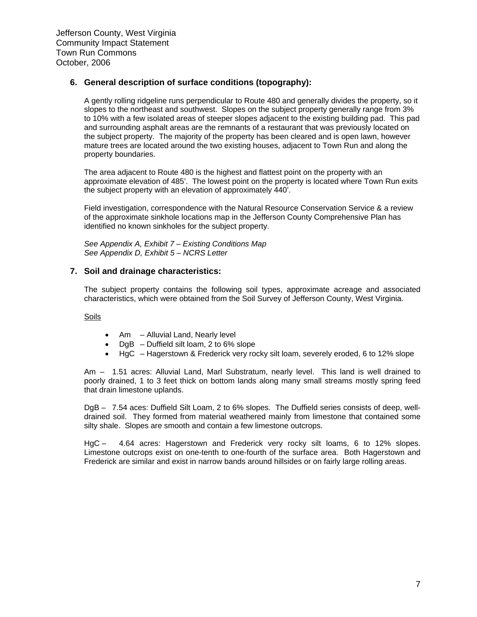#### **6. General description of surface conditions (topography):**

A gently rolling ridgeline runs perpendicular to Route 480 and generally divides the property, so it slopes to the northeast and southwest. Slopes on the subject property generally range from 3% to 10% with a few isolated areas of steeper slopes adjacent to the existing building pad. This pad and surrounding asphalt areas are the remnants of a restaurant that was previously located on the subject property. The majority of the property has been cleared and is open lawn, however mature trees are located around the two existing houses, adjacent to Town Run and along the property boundaries.

The area adjacent to Route 480 is the highest and flattest point on the property with an approximate elevation of 485'. The lowest point on the property is located where Town Run exits the subject property with an elevation of approximately 440'.

Field investigation, correspondence with the Natural Resource Conservation Service & a review of the approximate sinkhole locations map in the Jefferson County Comprehensive Plan has identified no known sinkholes for the subject property.

*See Appendix A, Exhibit 7 – Existing Conditions Map See Appendix D, Exhibit 5 – NCRS Letter*

#### **7. Soil and drainage characteristics:**

The subject property contains the following soil types, approximate acreage and associated characteristics, which were obtained from the Soil Survey of Jefferson County, West Virginia.

Soils

- Am Alluvial Land, Nearly level
- $DgB Duffield$  silt loam, 2 to 6% slope
- HgC Hagerstown & Frederick very rocky silt loam, severely eroded, 6 to 12% slope

Am – 1.51 acres: Alluvial Land, Marl Substratum, nearly level. This land is well drained to poorly drained, 1 to 3 feet thick on bottom lands along many small streams mostly spring feed that drain limestone uplands.

DgB – 7.54 aces: Duffield Silt Loam, 2 to 6% slopes. The Duffield series consists of deep, welldrained soil. They formed from material weathered mainly from limestone that contained some silty shale. Slopes are smooth and contain a few limestone outcrops.

HgC – 4.64 acres: Hagerstown and Frederick very rocky silt loams, 6 to 12% slopes. Limestone outcrops exist on one-tenth to one-fourth of the surface area. Both Hagerstown and Frederick are similar and exist in narrow bands around hillsides or on fairly large rolling areas.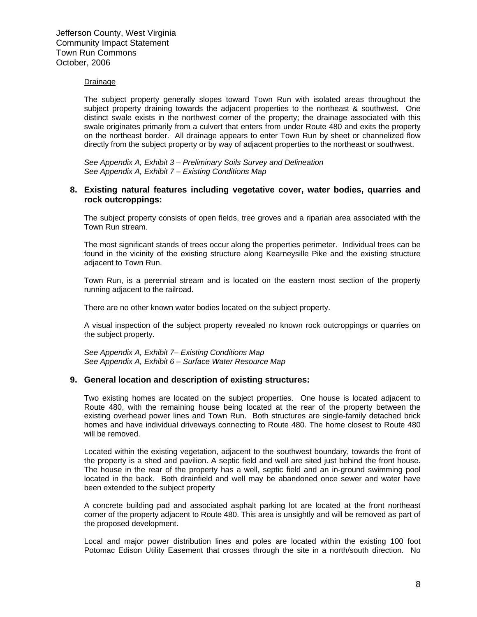#### Drainage

The subject property generally slopes toward Town Run with isolated areas throughout the subject property draining towards the adjacent properties to the northeast & southwest. One distinct swale exists in the northwest corner of the property; the drainage associated with this swale originates primarily from a culvert that enters from under Route 480 and exits the property on the northeast border. All drainage appears to enter Town Run by sheet or channelized flow directly from the subject property or by way of adjacent properties to the northeast or southwest.

*See Appendix A, Exhibit 3 – Preliminary Soils Survey and Delineation See Appendix A, Exhibit 7 – Existing Conditions Map*

#### **8. Existing natural features including vegetative cover, water bodies, quarries and rock outcroppings:**

The subject property consists of open fields, tree groves and a riparian area associated with the Town Run stream.

The most significant stands of trees occur along the properties perimeter. Individual trees can be found in the vicinity of the existing structure along Kearneysille Pike and the existing structure adjacent to Town Run.

Town Run, is a perennial stream and is located on the eastern most section of the property running adjacent to the railroad.

There are no other known water bodies located on the subject property.

A visual inspection of the subject property revealed no known rock outcroppings or quarries on the subject property.

*See Appendix A, Exhibit 7– Existing Conditions Map See Appendix A, Exhibit 6 – Surface Water Resource Map*

#### **9. General location and description of existing structures:**

Two existing homes are located on the subject properties. One house is located adjacent to Route 480, with the remaining house being located at the rear of the property between the existing overhead power lines and Town Run. Both structures are single-family detached brick homes and have individual driveways connecting to Route 480. The home closest to Route 480 will be removed.

Located within the existing vegetation, adjacent to the southwest boundary, towards the front of the property is a shed and pavilion. A septic field and well are sited just behind the front house. The house in the rear of the property has a well, septic field and an in-ground swimming pool located in the back. Both drainfield and well may be abandoned once sewer and water have been extended to the subject property

A concrete building pad and associated asphalt parking lot are located at the front northeast corner of the property adjacent to Route 480. This area is unsightly and will be removed as part of the proposed development.

Local and major power distribution lines and poles are located within the existing 100 foot Potomac Edison Utility Easement that crosses through the site in a north/south direction. No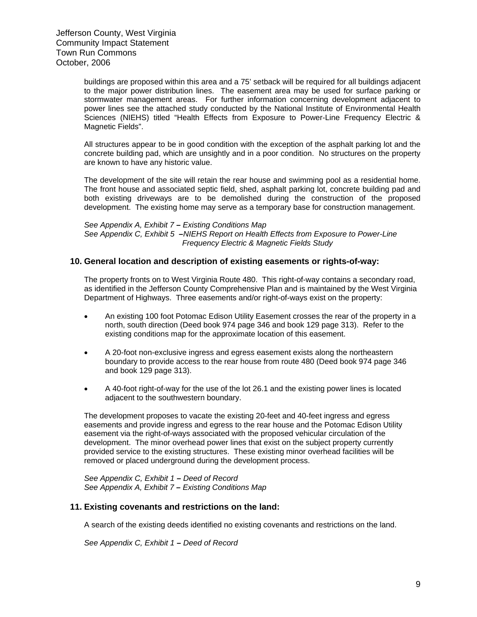buildings are proposed within this area and a 75' setback will be required for all buildings adjacent to the major power distribution lines. The easement area may be used for surface parking or stormwater management areas. For further information concerning development adjacent to power lines see the attached study conducted by the National Institute of Environmental Health Sciences (NIEHS) titled "Health Effects from Exposure to Power-Line Frequency Electric & Magnetic Fields".

All structures appear to be in good condition with the exception of the asphalt parking lot and the concrete building pad, which are unsightly and in a poor condition. No structures on the property are known to have any historic value.

The development of the site will retain the rear house and swimming pool as a residential home. The front house and associated septic field, shed, asphalt parking lot, concrete building pad and both existing driveways are to be demolished during the construction of the proposed development. The existing home may serve as a temporary base for construction management.

*See Appendix A, Exhibit 7 – Existing Conditions Map See Appendix C, Exhibit 5 –NIEHS Report on Health Effects from Exposure to Power-Line Frequency Electric & Magnetic Fields Study* 

#### **10. General location and description of existing easements or rights-of-way:**

The property fronts on to West Virginia Route 480. This right-of-way contains a secondary road, as identified in the Jefferson County Comprehensive Plan and is maintained by the West Virginia Department of Highways. Three easements and/or right-of-ways exist on the property:

- An existing 100 foot Potomac Edison Utility Easement crosses the rear of the property in a north, south direction (Deed book 974 page 346 and book 129 page 313). Refer to the existing conditions map for the approximate location of this easement.
- A 20-foot non-exclusive ingress and egress easement exists along the northeastern boundary to provide access to the rear house from route 480 (Deed book 974 page 346 and book 129 page 313).
- A 40-foot right-of-way for the use of the lot 26.1 and the existing power lines is located adjacent to the southwestern boundary.

The development proposes to vacate the existing 20-feet and 40-feet ingress and egress easements and provide ingress and egress to the rear house and the Potomac Edison Utility easement via the right-of-ways associated with the proposed vehicular circulation of the development. The minor overhead power lines that exist on the subject property currently provided service to the existing structures. These existing minor overhead facilities will be removed or placed underground during the development process.

*See Appendix C, Exhibit 1 – Deed of Record See Appendix A, Exhibit 7 – Existing Conditions Map*

#### **11. Existing covenants and restrictions on the land:**

A search of the existing deeds identified no existing covenants and restrictions on the land.

*See Appendix C, Exhibit 1 – Deed of Record*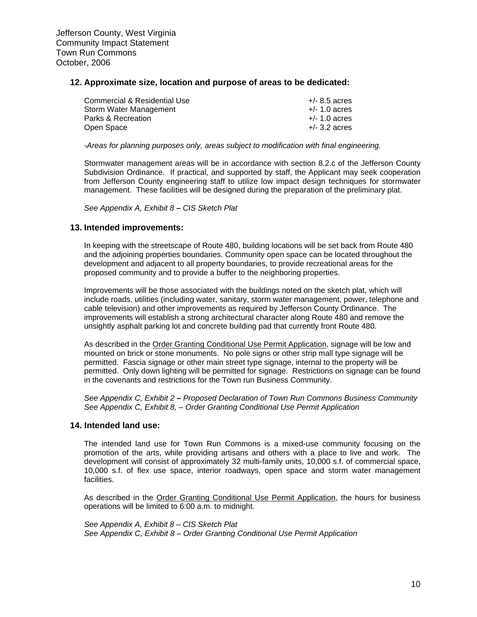#### **12. Approximate size, location and purpose of areas to be dedicated:**

| Commercial & Residential Use | $+/- 8.5$ acres |
|------------------------------|-----------------|
| Storm Water Management       | $+/- 1.0$ acres |
| Parks & Recreation           | $+/- 1.0$ acres |
| Open Space                   | $+/-$ 3.2 acres |

*-Areas for planning purposes only, areas subject to modification with final engineering.* 

Stormwater management areas will be in accordance with section 8.2.c of the Jefferson County Subdivision Ordinance. If practical, and supported by staff, the Applicant may seek cooperation from Jefferson County engineering staff to utilize low impact design techniques for stormwater management. These facilities will be designed during the preparation of the preliminary plat.

*See Appendix A, Exhibit 8 – CIS Sketch Plat* 

#### **13. Intended improvements:**

In keeping with the streetscape of Route 480, building locations will be set back from Route 480 and the adjoining properties boundaries. Community open space can be located throughout the development and adjacent to all property boundaries, to provide recreational areas for the proposed community and to provide a buffer to the neighboring properties.

Improvements will be those associated with the buildings noted on the sketch plat, which will include roads, utilities (including water, sanitary, storm water management, power, telephone and cable television) and other improvements as required by Jefferson County Ordinance. The improvements will establish a strong architectural character along Route 480 and remove the unsightly asphalt parking lot and concrete building pad that currently front Route 480.

As described in the Order Granting Conditional Use Permit Application, signage will be low and mounted on brick or stone monuments. No pole signs or other strip mall type signage will be permitted. Fascia signage or other main street type signage, internal to the property will be permitted. Only down lighting will be permitted for signage. Restrictions on signage can be found in the covenants and restrictions for the Town run Business Community.

*See Appendix C, Exhibit 2 – Proposed Declaration of Town Run Commons Business Community See Appendix C, Exhibit 8, – Order Granting Conditional Use Permit Application* 

#### **14. Intended land use:**

The intended land use for Town Run Commons is a mixed-use community focusing on the promotion of the arts, while providing artisans and others with a place to live and work. The development will consist of approximately 32 multi-family units, 10,000 s.f. of commercial space, 10,000 s.f. of flex use space, interior roadways, open space and storm water management facilities.

As described in the Order Granting Conditional Use Permit Application, the hours for business operations will be limited to 6:00 a.m. to midnight.

*See Appendix A, Exhibit 8 – CIS Sketch Plat See Appendix C, Exhibit 8 – Order Granting Conditional Use Permit Application*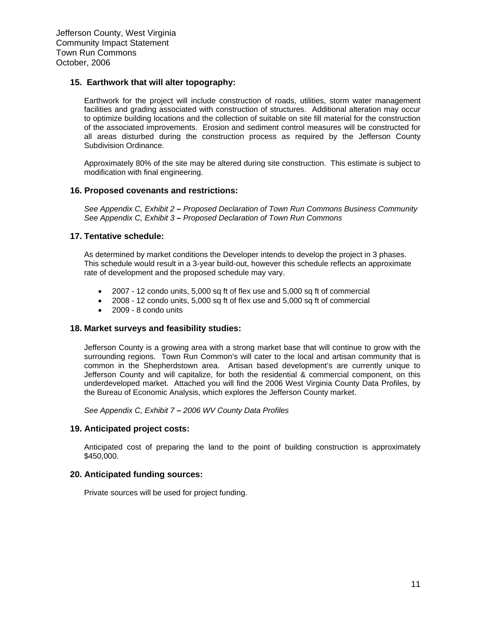#### **15. Earthwork that will alter topography:**

Earthwork for the project will include construction of roads, utilities, storm water management facilities and grading associated with construction of structures. Additional alteration may occur to optimize building locations and the collection of suitable on site fill material for the construction of the associated improvements. Erosion and sediment control measures will be constructed for all areas disturbed during the construction process as required by the Jefferson County Subdivision Ordinance.

Approximately 80% of the site may be altered during site construction. This estimate is subject to modification with final engineering.

#### **16. Proposed covenants and restrictions:**

*See Appendix C, Exhibit 2 – Proposed Declaration of Town Run Commons Business Community See Appendix C, Exhibit 3 – Proposed Declaration of Town Run Commons* 

#### **17. Tentative schedule:**

As determined by market conditions the Developer intends to develop the project in 3 phases. This schedule would result in a 3-year build-out, however this schedule reflects an approximate rate of development and the proposed schedule may vary.

- 2007 12 condo units, 5,000 sq ft of flex use and 5,000 sq ft of commercial
- 2008 12 condo units, 5,000 sq ft of flex use and 5,000 sq ft of commercial
- 2009 8 condo units

#### **18. Market surveys and feasibility studies:**

Jefferson County is a growing area with a strong market base that will continue to grow with the surrounding regions. Town Run Common's will cater to the local and artisan community that is common in the Shepherdstown area. Artisan based development's are currently unique to Jefferson County and will capitalize, for both the residential & commercial component, on this underdeveloped market. Attached you will find the 2006 West Virginia County Data Profiles, by the Bureau of Economic Analysis, which explores the Jefferson County market.

*See Appendix C, Exhibit 7 – 2006 WV County Data Profiles*

#### **19. Anticipated project costs:**

Anticipated cost of preparing the land to the point of building construction is approximately \$450,000.

#### **20. Anticipated funding sources:**

Private sources will be used for project funding.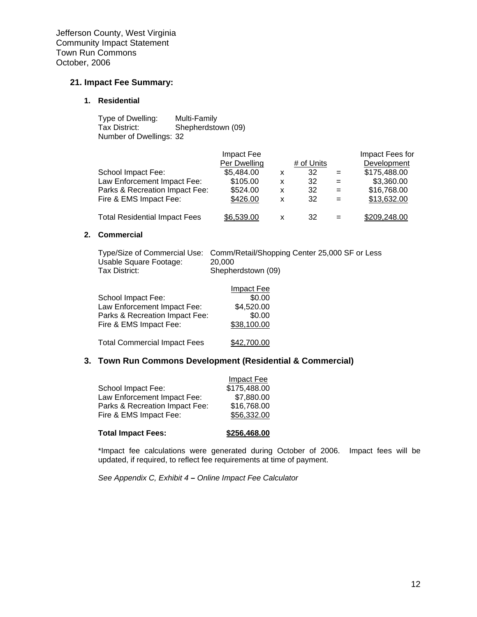#### **21. Impact Fee Summary:**

#### **1. Residential**

| Type of Dwelling:       | Multi-Family       |
|-------------------------|--------------------|
| Tax District:           | Shepherdstown (09) |
| Number of Dwellings: 32 |                    |

|                                      | Impact Fee   |   |            |     | Impact Fees for |
|--------------------------------------|--------------|---|------------|-----|-----------------|
|                                      | Per Dwelling |   | # of Units |     | Development     |
| School Impact Fee:                   | \$5,484.00   | X | 32         | $=$ | \$175,488.00    |
| Law Enforcement Impact Fee:          | \$105.00     | x | 32         | $=$ | \$3,360.00      |
| Parks & Recreation Impact Fee:       | \$524.00     | X | 32         | $=$ | \$16,768.00     |
| Fire & EMS Impact Fee:               | \$426.00     | X | 32         | $=$ | \$13,632.00     |
| <b>Total Residential Impact Fees</b> | \$6,539.00   | x | 32         | $=$ | \$209,248.00    |

#### **2. Commercial**

|                        | Type/Size of Commercial Use: Comm/Retail/Shopping Center 25,000 SF or Less |
|------------------------|----------------------------------------------------------------------------|
| Usable Square Footage: | 20,000                                                                     |
| Tax District:          | Shepherdstown (09)                                                         |

|                                     | <b>Impact Fee</b> |
|-------------------------------------|-------------------|
| School Impact Fee:                  | \$0.00            |
| Law Enforcement Impact Fee:         | \$4,520.00        |
| Parks & Recreation Impact Fee:      | \$0.00            |
| Fire & EMS Impact Fee:              | \$38,100.00       |
|                                     |                   |
| <b>Total Commercial Impact Fees</b> | \$42,700.00       |

### **3. Town Run Commons Development (Residential & Commercial)**

| <b>Total Impact Fees:</b>      | \$256,468.00 |
|--------------------------------|--------------|
| Fire & EMS Impact Fee:         | \$56,332.00  |
| Parks & Recreation Impact Fee: | \$16,768.00  |
| Law Enforcement Impact Fee:    | \$7,880.00   |
| School Impact Fee:             | \$175,488.00 |
|                                | Impact Fee   |

 \*Impact fee calculations were generated during October of 2006. Impact fees will be updated, if required, to reflect fee requirements at time of payment.

*See Appendix C, Exhibit 4 – Online Impact Fee Calculator*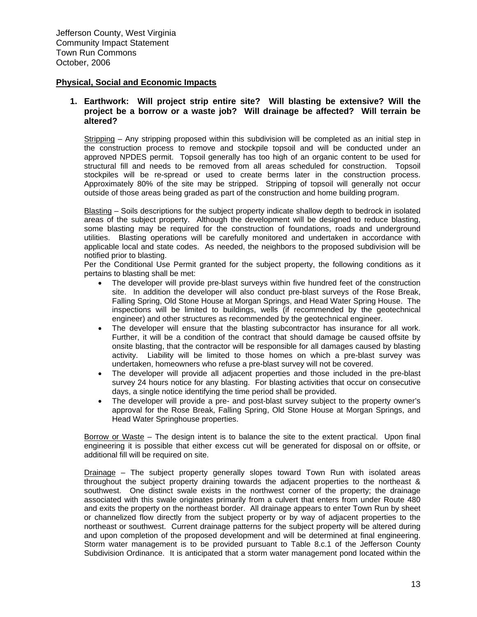#### **Physical, Social and Economic Impacts**

#### **1. Earthwork: Will project strip entire site? Will blasting be extensive? Will the project be a borrow or a waste job? Will drainage be affected? Will terrain be altered?**

Stripping – Any stripping proposed within this subdivision will be completed as an initial step in the construction process to remove and stockpile topsoil and will be conducted under an approved NPDES permit. Topsoil generally has too high of an organic content to be used for structural fill and needs to be removed from all areas scheduled for construction. Topsoil stockpiles will be re-spread or used to create berms later in the construction process. Approximately 80% of the site may be stripped. Stripping of topsoil will generally not occur outside of those areas being graded as part of the construction and home building program.

Blasting – Soils descriptions for the subject property indicate shallow depth to bedrock in isolated areas of the subject property. Although the development will be designed to reduce blasting, some blasting may be required for the construction of foundations, roads and underground utilities. Blasting operations will be carefully monitored and undertaken in accordance with applicable local and state codes. As needed, the neighbors to the proposed subdivision will be notified prior to blasting.

Per the Conditional Use Permit granted for the subject property, the following conditions as it pertains to blasting shall be met:

- The developer will provide pre-blast surveys within five hundred feet of the construction site. In addition the developer will also conduct pre-blast surveys of the Rose Break, Falling Spring, Old Stone House at Morgan Springs, and Head Water Spring House. The inspections will be limited to buildings, wells (if recommended by the geotechnical engineer) and other structures as recommended by the geotechnical engineer.
- The developer will ensure that the blasting subcontractor has insurance for all work. Further, it will be a condition of the contract that should damage be caused offsite by onsite blasting, that the contractor will be responsible for all damages caused by blasting activity. Liability will be limited to those homes on which a pre-blast survey was undertaken, homeowners who refuse a pre-blast survey will not be covered.
- The developer will provide all adjacent properties and those included in the pre-blast survey 24 hours notice for any blasting. For blasting activities that occur on consecutive days, a single notice identifying the time period shall be provided.
- The developer will provide a pre- and post-blast survey subject to the property owner's approval for the Rose Break, Falling Spring, Old Stone House at Morgan Springs, and Head Water Springhouse properties.

Borrow or Waste – The design intent is to balance the site to the extent practical. Upon final engineering it is possible that either excess cut will be generated for disposal on or offsite, or additional fill will be required on site.

Drainage – The subject property generally slopes toward Town Run with isolated areas throughout the subject property draining towards the adjacent properties to the northeast & southwest. One distinct swale exists in the northwest corner of the property; the drainage associated with this swale originates primarily from a culvert that enters from under Route 480 and exits the property on the northeast border. All drainage appears to enter Town Run by sheet or channelized flow directly from the subject property or by way of adjacent properties to the northeast or southwest. Current drainage patterns for the subject property will be altered during and upon completion of the proposed development and will be determined at final engineering. Storm water management is to be provided pursuant to Table 8.c.1 of the Jefferson County Subdivision Ordinance. It is anticipated that a storm water management pond located within the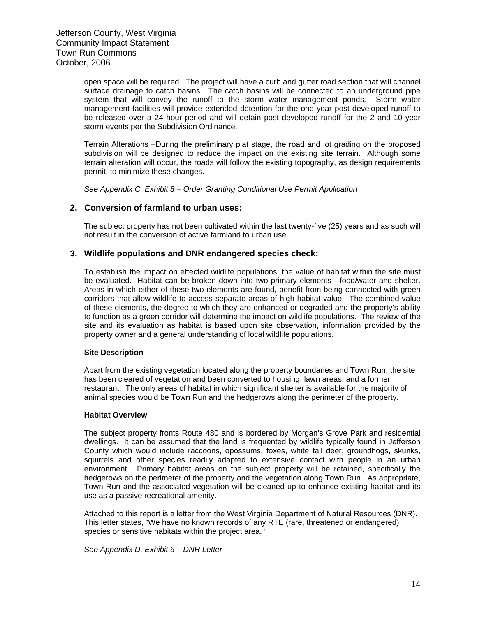open space will be required. The project will have a curb and gutter road section that will channel surface drainage to catch basins. The catch basins will be connected to an underground pipe system that will convey the runoff to the storm water management ponds. Storm water management facilities will provide extended detention for the one year post developed runoff to be released over a 24 hour period and will detain post developed runoff for the 2 and 10 year storm events per the Subdivision Ordinance.

Terrain Alterations –During the preliminary plat stage, the road and lot grading on the proposed subdivision will be designed to reduce the impact on the existing site terrain. Although some terrain alteration will occur, the roads will follow the existing topography, as design requirements permit, to minimize these changes.

*See Appendix C, Exhibit 8 – Order Granting Conditional Use Permit Application*

#### **2. Conversion of farmland to urban uses:**

The subject property has not been cultivated within the last twenty-five (25) years and as such will not result in the conversion of active farmland to urban use.

#### **3. Wildlife populations and DNR endangered species check:**

To establish the impact on effected wildlife populations, the value of habitat within the site must be evaluated. Habitat can be broken down into two primary elements - food/water and shelter. Areas in which either of these two elements are found, benefit from being connected with green corridors that allow wildlife to access separate areas of high habitat value. The combined value of these elements, the degree to which they are enhanced or degraded and the property's ability to function as a green corridor will determine the impact on wildlife populations. The review of the site and its evaluation as habitat is based upon site observation, information provided by the property owner and a general understanding of local wildlife populations.

#### **Site Description**

Apart from the existing vegetation located along the property boundaries and Town Run, the site has been cleared of vegetation and been converted to housing, lawn areas, and a former restaurant. The only areas of habitat in which significant shelter is available for the majority of animal species would be Town Run and the hedgerows along the perimeter of the property.

#### **Habitat Overview**

The subject property fronts Route 480 and is bordered by Morgan's Grove Park and residential dwellings. It can be assumed that the land is frequented by wildlife typically found in Jefferson County which would include raccoons, opossums, foxes, white tail deer, groundhogs, skunks, squirrels and other species readily adapted to extensive contact with people in an urban environment. Primary habitat areas on the subject property will be retained, specifically the hedgerows on the perimeter of the property and the vegetation along Town Run. As appropriate, Town Run and the associated vegetation will be cleaned up to enhance existing habitat and its use as a passive recreational amenity.

Attached to this report is a letter from the West Virginia Department of Natural Resources (DNR). This letter states, "We have no known records of any RTE (rare, threatened or endangered) species or sensitive habitats within the project area.<sup>"</sup>

*See Appendix D, Exhibit 6 – DNR Letter*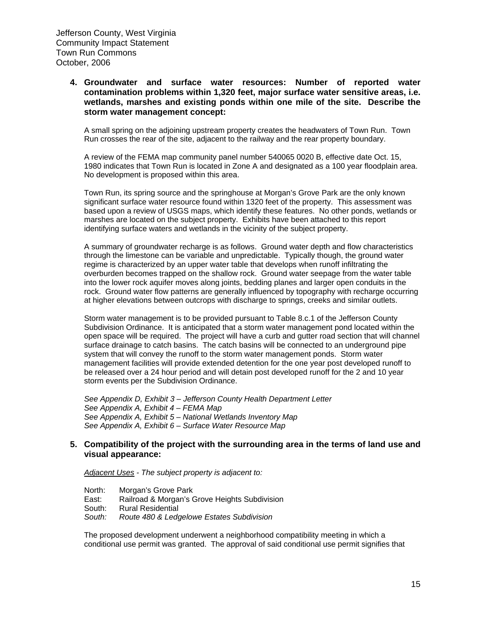**4. Groundwater and surface water resources: Number of reported water contamination problems within 1,320 feet, major surface water sensitive areas, i.e. wetlands, marshes and existing ponds within one mile of the site. Describe the storm water management concept:** 

A small spring on the adjoining upstream property creates the headwaters of Town Run. Town Run crosses the rear of the site, adjacent to the railway and the rear property boundary.

A review of the FEMA map community panel number 540065 0020 B, effective date Oct. 15, 1980 indicates that Town Run is located in Zone A and designated as a 100 year floodplain area. No development is proposed within this area.

Town Run, its spring source and the springhouse at Morgan's Grove Park are the only known significant surface water resource found within 1320 feet of the property. This assessment was based upon a review of USGS maps, which identify these features. No other ponds, wetlands or marshes are located on the subject property. Exhibits have been attached to this report identifying surface waters and wetlands in the vicinity of the subject property.

A summary of groundwater recharge is as follows. Ground water depth and flow characteristics through the limestone can be variable and unpredictable. Typically though, the ground water regime is characterized by an upper water table that develops when runoff infiltrating the overburden becomes trapped on the shallow rock. Ground water seepage from the water table into the lower rock aquifer moves along joints, bedding planes and larger open conduits in the rock. Ground water flow patterns are generally influenced by topography with recharge occurring at higher elevations between outcrops with discharge to springs, creeks and similar outlets.

Storm water management is to be provided pursuant to Table 8.c.1 of the Jefferson County Subdivision Ordinance. It is anticipated that a storm water management pond located within the open space will be required. The project will have a curb and gutter road section that will channel surface drainage to catch basins. The catch basins will be connected to an underground pipe system that will convey the runoff to the storm water management ponds. Storm water management facilities will provide extended detention for the one year post developed runoff to be released over a 24 hour period and will detain post developed runoff for the 2 and 10 year storm events per the Subdivision Ordinance.

*See Appendix D, Exhibit 3 – Jefferson County Health Department Letter See Appendix A, Exhibit 4 – FEMA Map See Appendix A, Exhibit 5 – National Wetlands Inventory Map See Appendix A, Exhibit 6 – Surface Water Resource Map*

#### **5. Compatibility of the project with the surrounding area in the terms of land use and visual appearance:**

*Adjacent Uses - The subject property is adjacent to:*

North: Morgan's Grove Park East: Railroad & Morgan's Grove Heights Subdivision South: Rural Residential *South: Route 480 & Ledgelowe Estates Subdivision* 

The proposed development underwent a neighborhood compatibility meeting in which a conditional use permit was granted. The approval of said conditional use permit signifies that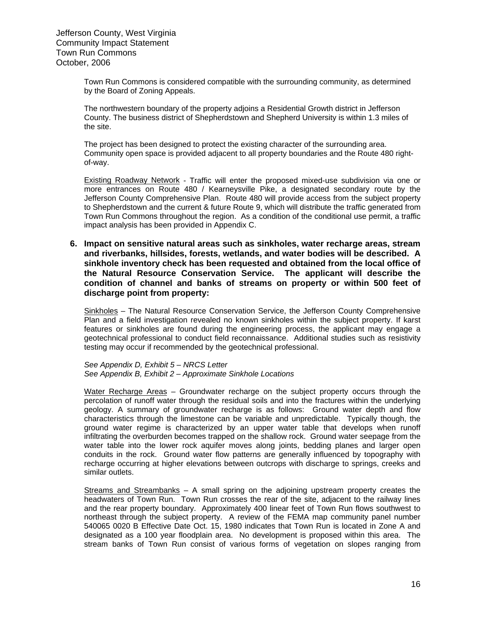Town Run Commons is considered compatible with the surrounding community, as determined by the Board of Zoning Appeals.

The northwestern boundary of the property adjoins a Residential Growth district in Jefferson County. The business district of Shepherdstown and Shepherd University is within 1.3 miles of the site.

The project has been designed to protect the existing character of the surrounding area. Community open space is provided adjacent to all property boundaries and the Route 480 rightof-way.

Existing Roadway Network - Traffic will enter the proposed mixed-use subdivision via one or more entrances on Route 480 / Kearneysville Pike, a designated secondary route by the Jefferson County Comprehensive Plan. Route 480 will provide access from the subject property to Shepherdstown and the current & future Route 9, which will distribute the traffic generated from Town Run Commons throughout the region. As a condition of the conditional use permit, a traffic impact analysis has been provided in Appendix C.

**6. Impact on sensitive natural areas such as sinkholes, water recharge areas, stream and riverbanks, hillsides, forests, wetlands, and water bodies will be described. A sinkhole inventory check has been requested and obtained from the local office of the Natural Resource Conservation Service. The applicant will describe the condition of channel and banks of streams on property or within 500 feet of discharge point from property:** 

Sinkholes – The Natural Resource Conservation Service, the Jefferson County Comprehensive Plan and a field investigation revealed no known sinkholes within the subject property. If karst features or sinkholes are found during the engineering process, the applicant may engage a geotechnical professional to conduct field reconnaissance. Additional studies such as resistivity testing may occur if recommended by the geotechnical professional.

*See Appendix D, Exhibit 5 – NRCS Letter See Appendix B, Exhibit 2 – Approximate Sinkhole Locations*

Water Recharge Areas – Groundwater recharge on the subject property occurs through the percolation of runoff water through the residual soils and into the fractures within the underlying geology. A summary of groundwater recharge is as follows: Ground water depth and flow characteristics through the limestone can be variable and unpredictable. Typically though, the ground water regime is characterized by an upper water table that develops when runoff infiltrating the overburden becomes trapped on the shallow rock. Ground water seepage from the water table into the lower rock aquifer moves along joints, bedding planes and larger open conduits in the rock. Ground water flow patterns are generally influenced by topography with recharge occurring at higher elevations between outcrops with discharge to springs, creeks and similar outlets.

Streams and Streambanks – A small spring on the adjoining upstream property creates the headwaters of Town Run. Town Run crosses the rear of the site, adjacent to the railway lines and the rear property boundary. Approximately 400 linear feet of Town Run flows southwest to northeast through the subject property. A review of the FEMA map community panel number 540065 0020 B Effective Date Oct. 15, 1980 indicates that Town Run is located in Zone A and designated as a 100 year floodplain area. No development is proposed within this area. The stream banks of Town Run consist of various forms of vegetation on slopes ranging from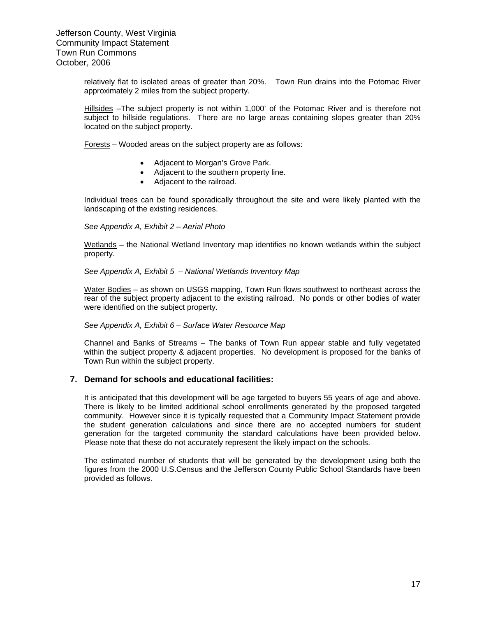relatively flat to isolated areas of greater than 20%. Town Run drains into the Potomac River approximately 2 miles from the subject property.

Hillsides –The subject property is not within 1,000' of the Potomac River and is therefore not subject to hillside regulations. There are no large areas containing slopes greater than 20% located on the subject property.

Forests – Wooded areas on the subject property are as follows:

- Adjacent to Morgan's Grove Park.
- Adjacent to the southern property line.
- Adjacent to the railroad.

Individual trees can be found sporadically throughout the site and were likely planted with the landscaping of the existing residences.

*See Appendix A, Exhibit 2 – Aerial Photo* 

Wetlands – the National Wetland Inventory map identifies no known wetlands within the subject property.

*See Appendix A, Exhibit 5 – National Wetlands Inventory Map* 

Water Bodies – as shown on USGS mapping, Town Run flows southwest to northeast across the rear of the subject property adjacent to the existing railroad. No ponds or other bodies of water were identified on the subject property.

*See Appendix A, Exhibit 6 – Surface Water Resource Map* 

Channel and Banks of Streams – The banks of Town Run appear stable and fully vegetated within the subject property & adjacent properties. No development is proposed for the banks of Town Run within the subject property.

#### **7. Demand for schools and educational facilities:**

It is anticipated that this development will be age targeted to buyers 55 years of age and above. There is likely to be limited additional school enrollments generated by the proposed targeted community. However since it is typically requested that a Community Impact Statement provide the student generation calculations and since there are no accepted numbers for student generation for the targeted community the standard calculations have been provided below. Please note that these do not accurately represent the likely impact on the schools.

The estimated number of students that will be generated by the development using both the figures from the 2000 U.S.Census and the Jefferson County Public School Standards have been provided as follows.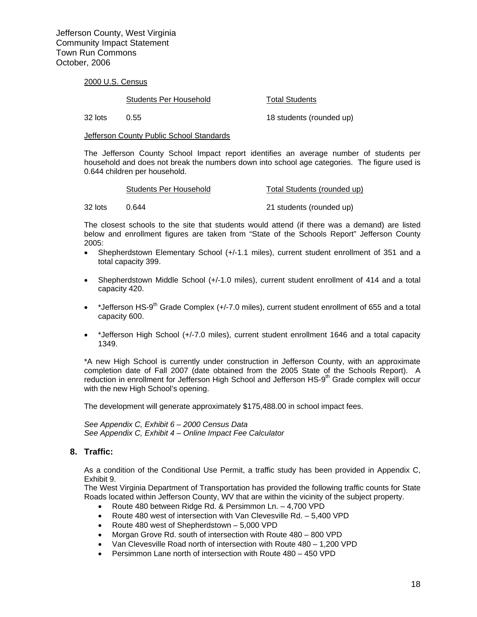2000 U.S. Census

Students Per Household Total Students

32 lots 0.55 18 students (rounded up)

**Jefferson County Public School Standards** 

The Jefferson County School Impact report identifies an average number of students per household and does not break the numbers down into school age categories. The figure used is 0.644 children per household.

|         | Students Per Household | Total Students (rounded up) |  |  |
|---------|------------------------|-----------------------------|--|--|
|         |                        |                             |  |  |
| 32 lots | 0.644                  | 21 students (rounded up)    |  |  |

The closest schools to the site that students would attend (if there was a demand) are listed below and enrollment figures are taken from "State of the Schools Report" Jefferson County 2005:

- Shepherdstown Elementary School (+/-1.1 miles), current student enrollment of 351 and a total capacity 399.
- Shepherdstown Middle School (+/-1.0 miles), current student enrollment of 414 and a total capacity 420.
- \* Jefferson HS-9<sup>th</sup> Grade Complex (+/-7.0 miles), current student enrollment of 655 and a total capacity 600.
- \*Jefferson High School (+/-7.0 miles), current student enrollment 1646 and a total capacity 1349.

\*A new High School is currently under construction in Jefferson County, with an approximate completion date of Fall 2007 (date obtained from the 2005 State of the Schools Report). A reduction in enrollment for Jefferson High School and Jefferson HS-9th Grade complex will occur with the new High School's opening.

The development will generate approximately \$175,488.00 in school impact fees.

*See Appendix C, Exhibit 6 – 2000 Census Data See Appendix C, Exhibit 4 – Online Impact Fee Calculator*

#### **8. Traffic:**

As a condition of the Conditional Use Permit, a traffic study has been provided in Appendix C, Exhibit 9.

The West Virginia Department of Transportation has provided the following traffic counts for State Roads located within Jefferson County, WV that are within the vicinity of the subject property.

- Route 480 between Ridge Rd. & Persimmon Ln. 4,700 VPD
- Route 480 west of intersection with Van Clevesville Rd. 5,400 VPD
- Route 480 west of Shepherdstown 5,000 VPD
- Morgan Grove Rd. south of intersection with Route 480 800 VPD
- Van Clevesville Road north of intersection with Route 480 1,200 VPD
- Persimmon Lane north of intersection with Route 480 450 VPD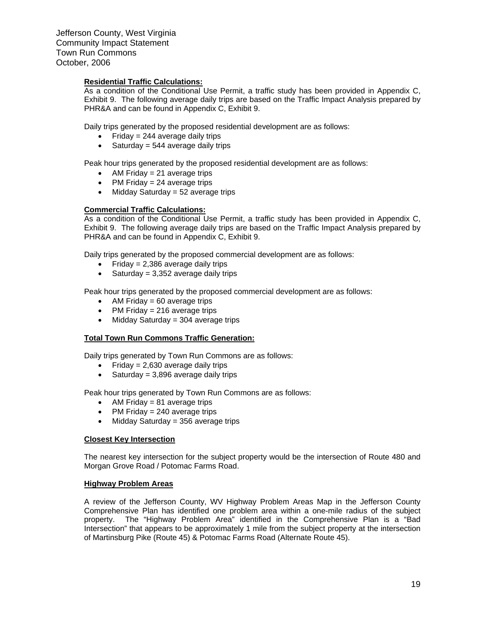#### **Residential Traffic Calculations:**

As a condition of the Conditional Use Permit, a traffic study has been provided in Appendix C, Exhibit 9. The following average daily trips are based on the Traffic Impact Analysis prepared by PHR&A and can be found in Appendix C, Exhibit 9.

Daily trips generated by the proposed residential development are as follows:

- Friday = 244 average daily trips
- Saturday =  $544$  average daily trips

Peak hour trips generated by the proposed residential development are as follows:

- AM Friday  $= 21$  average trips
- PM Friday  $= 24$  average trips
- Midday Saturday  $= 52$  average trips

#### **Commercial Traffic Calculations:**

As a condition of the Conditional Use Permit, a traffic study has been provided in Appendix C, Exhibit 9. The following average daily trips are based on the Traffic Impact Analysis prepared by PHR&A and can be found in Appendix C, Exhibit 9.

Daily trips generated by the proposed commercial development are as follows:

- Friday =  $2,386$  average daily trips
- Saturday =  $3,352$  average daily trips

Peak hour trips generated by the proposed commercial development are as follows:

- AM Friday  $= 60$  average trips
- PM Friday = 216 average trips
- Midday Saturday = 304 average trips

#### **Total Town Run Commons Traffic Generation:**

Daily trips generated by Town Run Commons are as follows:

- Friday =  $2.630$  average daily trips
- Saturday =  $3.896$  average daily trips

Peak hour trips generated by Town Run Commons are as follows:

- AM Friday  $= 81$  average trips
- PM Friday  $= 240$  average trips
- Midday Saturday = 356 average trips

#### **Closest Key Intersection**

The nearest key intersection for the subject property would be the intersection of Route 480 and Morgan Grove Road / Potomac Farms Road.

#### **Highway Problem Areas**

A review of the Jefferson County, WV Highway Problem Areas Map in the Jefferson County Comprehensive Plan has identified one problem area within a one-mile radius of the subject property. The "Highway Problem Area" identified in the Comprehensive Plan is a "Bad Intersection" that appears to be approximately 1 mile from the subject property at the intersection of Martinsburg Pike (Route 45) & Potomac Farms Road (Alternate Route 45).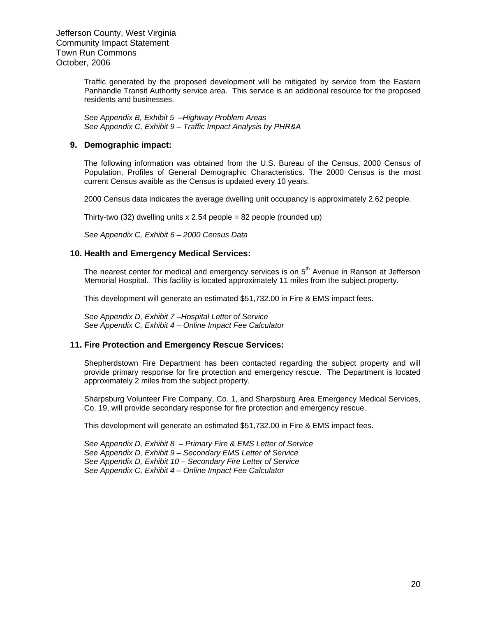> Traffic generated by the proposed development will be mitigated by service from the Eastern Panhandle Transit Authority service area. This service is an additional resource for the proposed residents and businesses.

*See Appendix B, Exhibit 5 –Highway Problem Areas See Appendix C, Exhibit 9 – Traffic Impact Analysis by PHR&A*

#### **9. Demographic impact:**

The following information was obtained from the U.S. Bureau of the Census, 2000 Census of Population, Profiles of General Demographic Characteristics. The 2000 Census is the most current Census avaible as the Census is updated every 10 years.

2000 Census data indicates the average dwelling unit occupancy is approximately 2.62 people.

Thirty-two (32) dwelling units x 2.54 people = 82 people (rounded up)

*See Appendix C, Exhibit 6 – 2000 Census Data*

#### **10. Health and Emergency Medical Services:**

The nearest center for medical and emergency services is on 5<sup>th</sup> Avenue in Ranson at Jefferson Memorial Hospital. This facility is located approximately 11 miles from the subject property.

This development will generate an estimated \$51,732.00 in Fire & EMS impact fees.

*See Appendix D, Exhibit 7 –Hospital Letter of Service See Appendix C, Exhibit 4 – Online Impact Fee Calculator* 

#### **11. Fire Protection and Emergency Rescue Services:**

Shepherdstown Fire Department has been contacted regarding the subject property and will provide primary response for fire protection and emergency rescue. The Department is located approximately 2 miles from the subject property.

Sharpsburg Volunteer Fire Company, Co. 1, and Sharpsburg Area Emergency Medical Services, Co. 19, will provide secondary response for fire protection and emergency rescue.

This development will generate an estimated \$51,732.00 in Fire & EMS impact fees.

*See Appendix D, Exhibit 8 – Primary Fire & EMS Letter of Service See Appendix D, Exhibit 9 – Secondary EMS Letter of Service See Appendix D, Exhibit 10 – Secondary Fire Letter of Service See Appendix C, Exhibit 4 – Online Impact Fee Calculator*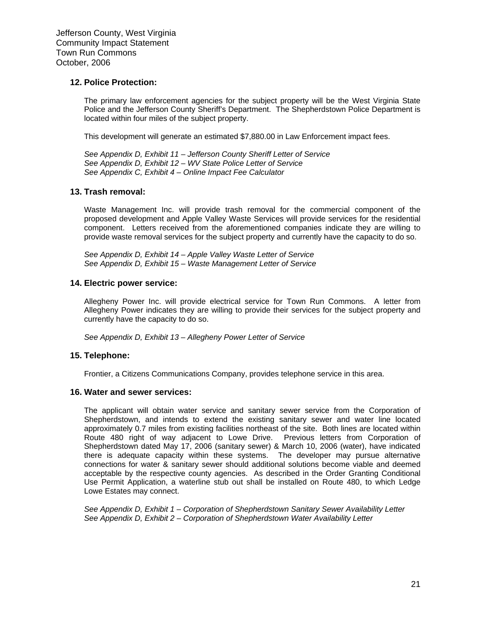#### **12. Police Protection:**

The primary law enforcement agencies for the subject property will be the West Virginia State Police and the Jefferson County Sheriff's Department. The Shepherdstown Police Department is located within four miles of the subject property.

This development will generate an estimated \$7,880.00 in Law Enforcement impact fees.

*See Appendix D, Exhibit 11 – Jefferson County Sheriff Letter of Service See Appendix D, Exhibit 12 – WV State Police Letter of Service See Appendix C, Exhibit 4 – Online Impact Fee Calculator* 

#### **13. Trash removal:**

Waste Management Inc. will provide trash removal for the commercial component of the proposed development and Apple Valley Waste Services will provide services for the residential component. Letters received from the aforementioned companies indicate they are willing to provide waste removal services for the subject property and currently have the capacity to do so.

*See Appendix D, Exhibit 14 – Apple Valley Waste Letter of Service See Appendix D, Exhibit 15 – Waste Management Letter of Service*

#### **14. Electric power service:**

Allegheny Power Inc. will provide electrical service for Town Run Commons. A letter from Allegheny Power indicates they are willing to provide their services for the subject property and currently have the capacity to do so.

*See Appendix D, Exhibit 13 – Allegheny Power Letter of Service* 

#### **15. Telephone:**

Frontier, a Citizens Communications Company, provides telephone service in this area.

#### **16. Water and sewer services:**

The applicant will obtain water service and sanitary sewer service from the Corporation of Shepherdstown, and intends to extend the existing sanitary sewer and water line located approximately 0.7 miles from existing facilities northeast of the site. Both lines are located within Route 480 right of way adjacent to Lowe Drive. Previous letters from Corporation of Shepherdstown dated May 17, 2006 (sanitary sewer) & March 10, 2006 (water), have indicated there is adequate capacity within these systems. The developer may pursue alternative connections for water & sanitary sewer should additional solutions become viable and deemed acceptable by the respective county agencies. As described in the Order Granting Conditional Use Permit Application, a waterline stub out shall be installed on Route 480, to which Ledge Lowe Estates may connect.

*See Appendix D, Exhibit 1 – Corporation of Shepherdstown Sanitary Sewer Availability Letter See Appendix D, Exhibit 2 – Corporation of Shepherdstown Water Availability Letter*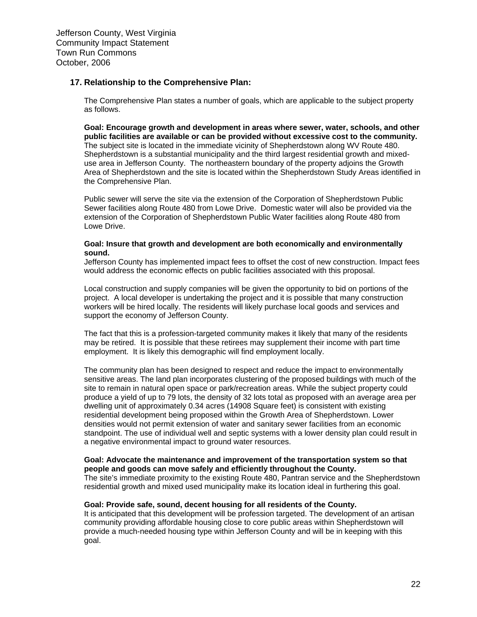#### **17. Relationship to the Comprehensive Plan:**

The Comprehensive Plan states a number of goals, which are applicable to the subject property as follows.

**Goal: Encourage growth and development in areas where sewer, water, schools, and other public facilities are available or can be provided without excessive cost to the community.**  The subject site is located in the immediate vicinity of Shepherdstown along WV Route 480. Shepherdstown is a substantial municipality and the third largest residential growth and mixeduse area in Jefferson County. The northeastern boundary of the property adjoins the Growth Area of Shepherdstown and the site is located within the Shepherdstown Study Areas identified in the Comprehensive Plan.

Public sewer will serve the site via the extension of the Corporation of Shepherdstown Public Sewer facilities along Route 480 from Lowe Drive. Domestic water will also be provided via the extension of the Corporation of Shepherdstown Public Water facilities along Route 480 from Lowe Drive.

#### **Goal: Insure that growth and development are both economically and environmentally sound.**

Jefferson County has implemented impact fees to offset the cost of new construction. Impact fees would address the economic effects on public facilities associated with this proposal.

Local construction and supply companies will be given the opportunity to bid on portions of the project. A local developer is undertaking the project and it is possible that many construction workers will be hired locally. The residents will likely purchase local goods and services and support the economy of Jefferson County.

The fact that this is a profession-targeted community makes it likely that many of the residents may be retired. It is possible that these retirees may supplement their income with part time employment. It is likely this demographic will find employment locally.

The community plan has been designed to respect and reduce the impact to environmentally sensitive areas. The land plan incorporates clustering of the proposed buildings with much of the site to remain in natural open space or park/recreation areas. While the subject property could produce a yield of up to 79 lots, the density of 32 lots total as proposed with an average area per dwelling unit of approximately 0.34 acres (14908 Square feet) is consistent with existing residential development being proposed within the Growth Area of Shepherdstown. Lower densities would not permit extension of water and sanitary sewer facilities from an economic standpoint. The use of individual well and septic systems with a lower density plan could result in a negative environmental impact to ground water resources.

#### **Goal: Advocate the maintenance and improvement of the transportation system so that people and goods can move safely and efficiently throughout the County.**

The site's immediate proximity to the existing Route 480, Pantran service and the Shepherdstown residential growth and mixed used municipality make its location ideal in furthering this goal.

#### **Goal: Provide safe, sound, decent housing for all residents of the County.**

It is anticipated that this development will be profession targeted. The development of an artisan community providing affordable housing close to core public areas within Shepherdstown will provide a much-needed housing type within Jefferson County and will be in keeping with this goal.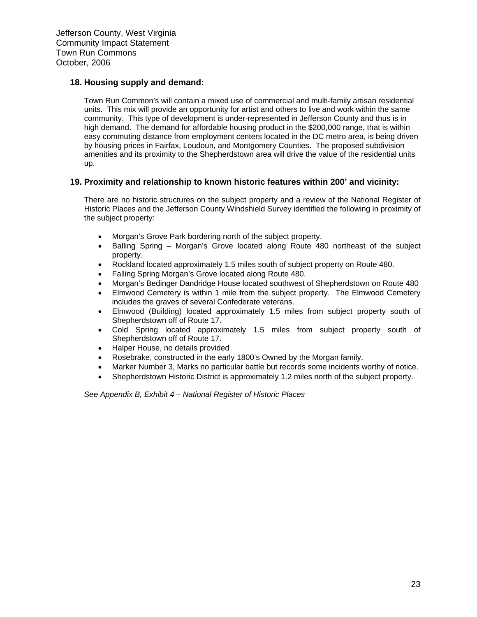#### **18. Housing supply and demand:**

Town Run Common's will contain a mixed use of commercial and multi-family artisan residential units. This mix will provide an opportunity for artist and others to live and work within the same community. This type of development is under-represented in Jefferson County and thus is in high demand. The demand for affordable housing product in the \$200,000 range, that is within easy commuting distance from employment centers located in the DC metro area, is being driven by housing prices in Fairfax, Loudoun, and Montgomery Counties. The proposed subdivision amenities and its proximity to the Shepherdstown area will drive the value of the residential units up.

#### **19. Proximity and relationship to known historic features within 200' and vicinity:**

There are no historic structures on the subject property and a review of the National Register of Historic Places and the Jefferson County Windshield Survey identified the following in proximity of the subject property:

- Morgan's Grove Park bordering north of the subject property.
- Balling Spring Morgan's Grove located along Route 480 northeast of the subject property.
- Rockland located approximately 1.5 miles south of subject property on Route 480.
- Falling Spring Morgan's Grove located along Route 480.
- Morgan's Bedinger Dandridge House located southwest of Shepherdstown on Route 480
- Elmwood Cemetery is within 1 mile from the subject property. The Elmwood Cemetery includes the graves of several Confederate veterans.
- Elmwood (Building) located approximately 1.5 miles from subject property south of Shepherdstown off of Route 17.
- Cold Spring located approximately 1.5 miles from subject property south of Shepherdstown off of Route 17.
- Halper House, no details provided
- Rosebrake, constructed in the early 1800's Owned by the Morgan family.
- Marker Number 3, Marks no particular battle but records some incidents worthy of notice.
- Shepherdstown Historic District is approximately 1.2 miles north of the subject property.

*See Appendix B, Exhibit 4 – National Register of Historic Places*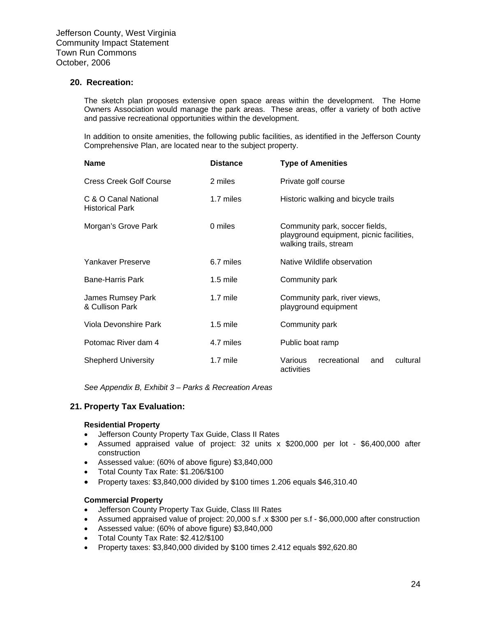#### **20. Recreation:**

The sketch plan proposes extensive open space areas within the development. The Home Owners Association would manage the park areas. These areas, offer a variety of both active and passive recreational opportunities within the development.

In addition to onsite amenities, the following public facilities, as identified in the Jefferson County Comprehensive Plan, are located near to the subject property.

| <b>Name</b>                                    | <b>Distance</b> | <b>Type of Amenities</b>                                                                             |  |
|------------------------------------------------|-----------------|------------------------------------------------------------------------------------------------------|--|
| <b>Cress Creek Golf Course</b>                 | 2 miles         | Private golf course                                                                                  |  |
| C & O Canal National<br><b>Historical Park</b> | 1.7 miles       | Historic walking and bicycle trails                                                                  |  |
| Morgan's Grove Park                            | 0 miles         | Community park, soccer fields,<br>playground equipment, picnic facilities,<br>walking trails, stream |  |
| Yankaver Preserve                              | 6.7 miles       | Native Wildlife observation                                                                          |  |
| <b>Bane-Harris Park</b>                        | $1.5$ mile      | Community park                                                                                       |  |
| James Rumsey Park<br>& Cullison Park           | 1.7 mile        | Community park, river views,<br>playground equipment                                                 |  |
| Viola Devonshire Park                          | $1.5$ mile      | Community park                                                                                       |  |
| Potomac River dam 4                            | 4.7 miles       | Public boat ramp                                                                                     |  |
| <b>Shepherd University</b>                     | $1.7$ mile      | cultural<br>Various<br>recreational<br>and<br>activities                                             |  |

*See Appendix B, Exhibit 3 – Parks & Recreation Areas*

#### **21. Property Tax Evaluation:**

#### **Residential Property**

- Jefferson County Property Tax Guide, Class II Rates
- Assumed appraised value of project: 32 units x \$200,000 per lot \$6,400,000 after construction
- Assessed value: (60% of above figure) \$3,840,000
- Total County Tax Rate: \$1.206/\$100
- Property taxes: \$3,840,000 divided by \$100 times 1.206 equals \$46,310.40

#### **Commercial Property**

- Jefferson County Property Tax Guide, Class III Rates
- Assumed appraised value of project: 20,000 s.f .x \$300 per s.f \$6,000,000 after construction
- Assessed value: (60% of above figure) \$3,840,000
- Total County Tax Rate: \$2.412/\$100
- Property taxes: \$3,840,000 divided by \$100 times 2.412 equals \$92,620.80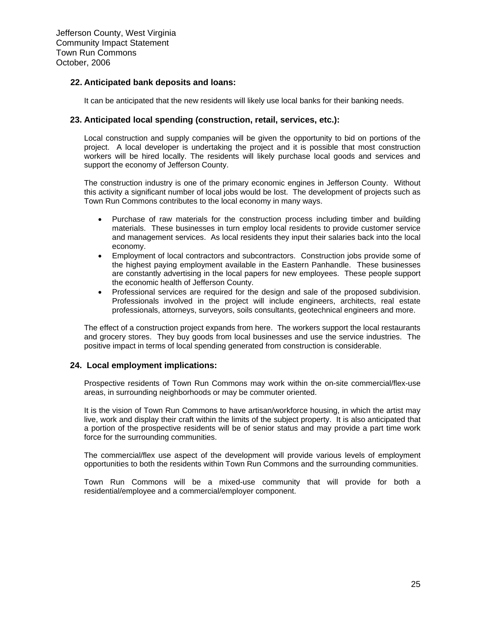#### **22. Anticipated bank deposits and loans:**

It can be anticipated that the new residents will likely use local banks for their banking needs.

#### **23. Anticipated local spending (construction, retail, services, etc.):**

Local construction and supply companies will be given the opportunity to bid on portions of the project. A local developer is undertaking the project and it is possible that most construction workers will be hired locally. The residents will likely purchase local goods and services and support the economy of Jefferson County.

The construction industry is one of the primary economic engines in Jefferson County. Without this activity a significant number of local jobs would be lost. The development of projects such as Town Run Commons contributes to the local economy in many ways.

- Purchase of raw materials for the construction process including timber and building materials. These businesses in turn employ local residents to provide customer service and management services. As local residents they input their salaries back into the local economy.
- Employment of local contractors and subcontractors. Construction jobs provide some of the highest paying employment available in the Eastern Panhandle. These businesses are constantly advertising in the local papers for new employees. These people support the economic health of Jefferson County.
- Professional services are required for the design and sale of the proposed subdivision. Professionals involved in the project will include engineers, architects, real estate professionals, attorneys, surveyors, soils consultants, geotechnical engineers and more.

The effect of a construction project expands from here. The workers support the local restaurants and grocery stores. They buy goods from local businesses and use the service industries. The positive impact in terms of local spending generated from construction is considerable.

#### **24. Local employment implications:**

Prospective residents of Town Run Commons may work within the on-site commercial/flex-use areas, in surrounding neighborhoods or may be commuter oriented.

It is the vision of Town Run Commons to have artisan/workforce housing, in which the artist may live, work and display their craft within the limits of the subject property. It is also anticipated that a portion of the prospective residents will be of senior status and may provide a part time work force for the surrounding communities.

The commercial/flex use aspect of the development will provide various levels of employment opportunities to both the residents within Town Run Commons and the surrounding communities.

Town Run Commons will be a mixed-use community that will provide for both a residential/employee and a commercial/employer component.